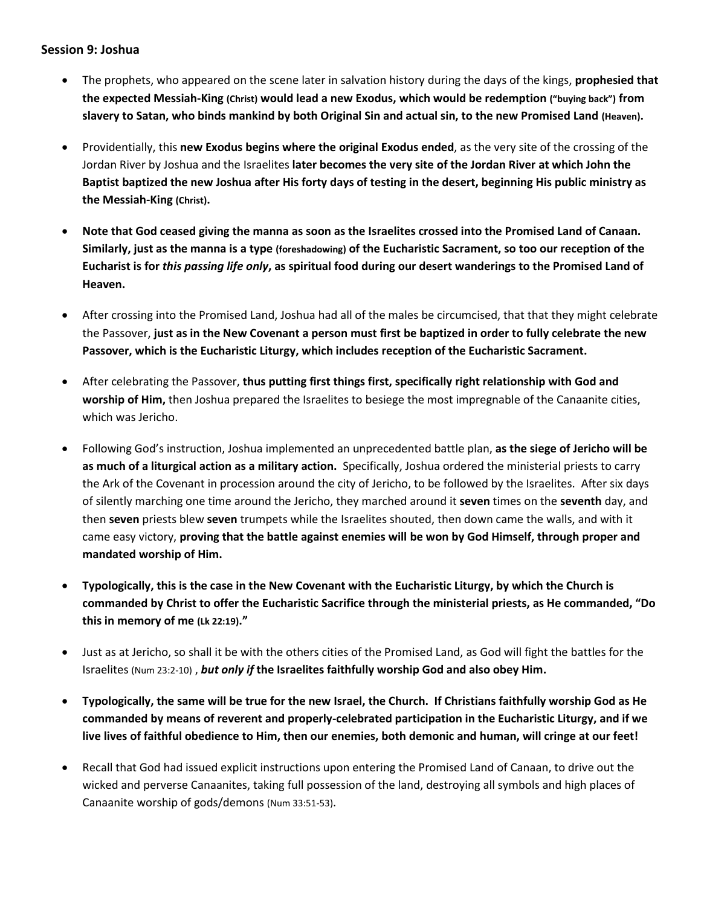## **Session 9: Joshua**

- The prophets, who appeared on the scene later in salvation history during the days of the kings, **prophesied that the expected Messiah-King (Christ) would lead a new Exodus, which would be redemption ("buying back") from slavery to Satan, who binds mankind by both Original Sin and actual sin, to the new Promised Land (Heaven).**
- Providentially, this **new Exodus begins where the original Exodus ended**, as the very site of the crossing of the Jordan River by Joshua and the Israelites **later becomes the very site of the Jordan River at which John the Baptist baptized the new Joshua after His forty days of testing in the desert, beginning His public ministry as the Messiah-King (Christ).**
- **Note that God ceased giving the manna as soon as the Israelites crossed into the Promised Land of Canaan. Similarly, just as the manna is a type (foreshadowing) of the Eucharistic Sacrament, so too our reception of the Eucharist is for** *this passing life only***, as spiritual food during our desert wanderings to the Promised Land of Heaven.**
- After crossing into the Promised Land, Joshua had all of the males be circumcised, that that they might celebrate the Passover, **just as in the New Covenant a person must first be baptized in order to fully celebrate the new Passover, which is the Eucharistic Liturgy, which includes reception of the Eucharistic Sacrament.**
- After celebrating the Passover, **thus putting first things first, specifically right relationship with God and worship of Him,** then Joshua prepared the Israelites to besiege the most impregnable of the Canaanite cities, which was Jericho.
- Following God's instruction, Joshua implemented an unprecedented battle plan, **as the siege of Jericho will be as much of a liturgical action as a military action.** Specifically, Joshua ordered the ministerial priests to carry the Ark of the Covenant in procession around the city of Jericho, to be followed by the Israelites. After six days of silently marching one time around the Jericho, they marched around it **seven** times on the **seventh** day, and then **seven** priests blew **seven** trumpets while the Israelites shouted, then down came the walls, and with it came easy victory, **proving that the battle against enemies will be won by God Himself, through proper and mandated worship of Him.**
- **Typologically, this is the case in the New Covenant with the Eucharistic Liturgy, by which the Church is commanded by Christ to offer the Eucharistic Sacrifice through the ministerial priests, as He commanded, "Do this in memory of me (Lk 22:19)."**
- Just as at Jericho, so shall it be with the others cities of the Promised Land, as God will fight the battles for the Israelites (Num 23:2-10) , *but only if* **the Israelites faithfully worship God and also obey Him.**
- **Typologically, the same will be true for the new Israel, the Church. If Christians faithfully worship God as He commanded by means of reverent and properly-celebrated participation in the Eucharistic Liturgy, and if we live lives of faithful obedience to Him, then our enemies, both demonic and human, will cringe at our feet!**
- Recall that God had issued explicit instructions upon entering the Promised Land of Canaan, to drive out the wicked and perverse Canaanites, taking full possession of the land, destroying all symbols and high places of Canaanite worship of gods/demons (Num 33:51-53).